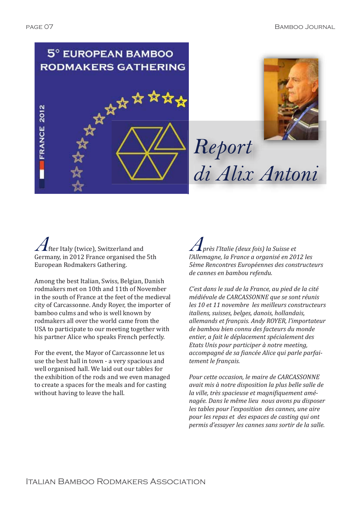

*A*fter Italy (twice), Switzerland and Germany, in 2012 France organised the 5th European Rodmakers Gathering.

Among the best Italian, Swiss, Belgian, Danish rodmakers met on 10th and 11th of November in the south of France at the feet of the medieval city of Carcassonne. Andy Royer, the importer of bamboo culms and who is well known by rodmakers all over the world came from the USA to participate to our meeting together with his partner Alice who speaks French perfectly.

For the event, the Mayor of Carcassonne let us use the best hall in town - a very spacious and well organised hall. We laid out our tables for the exhibition of the rods and we even managed to create a spaces for the meals and for casting without having to leave the hall.

*Après l'Italie (deux fois) la Suisse et l'Allemagne, la France a organisé en 2012 les 5ème Rencontres Européennes des constructeurs de cannes en bambou refendu.* 

*C'est dans le sud de la France, au pied de la cité médiévale de CARCASSONNE que se sont réunis les 10 et 11 novembre les meilleurs constructeurs italiens, suisses, belges, danois, hollandais, allemands et français. Andy ROYER, l'importateur de bambou bien connu des facteurs du monde entier, a fait le déplacement spécialement des Etats Unis pour participer à notre meeting, accompagné de sa �iancée Alice qui parle parfaitement le français.*

*Pour cette occasion, le maire de CARCASSONNE avait mis à notre disposition la plus belle salle de la ville, très spacieuse et magni�iquement aménagée. Dans le même lieu nous avons pu disposer les tables pour l'exposition des cannes, une aire pour les repas et des espaces de casting qui ont permis d'essayer les cannes sans sortir de la salle.*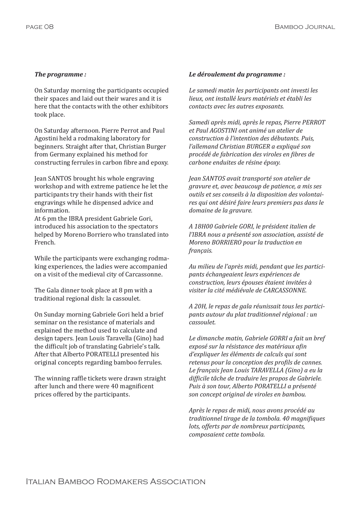## *The programme :*

On Saturday morning the participants occupied their spaces and laid out their wares and it is here that the contacts with the other exhibitors took place.

On Saturday afternoon. Pierre Perrot and Paul Agostini held a rodmaking laboratory for beginners. Straight after that, Christian Burger from Germany explained his method for constructing ferrules in carbon �ibre and epoxy.

Jean SANTOS brought his whole engraving workshop and with extreme patience he let the participants try their hands with their fist engravings while he dispensed advice and information.

At 6 pm the IBRA president Gabriele Gori, introduced his association to the spectators helped by Moreno Borriero who translated into French.

While the participants were exchanging rodmaking experiences, the ladies were accompanied on a visit of the medieval city of Carcassonne.

The Gala dinner took place at 8 pm with a traditional regional dish: la cassoulet.

On Sunday morning Gabriele Gori held a brief seminar on the resistance of materials and explained the method used to calculate and design tapers. Jean Louis Taravella (Gino) had the difficult job of translating Gabriele's talk. After that Alberto PORATELLI presented his original concepts regarding bamboo ferrules.

The winning raffle tickets were drawn straight after lunch and there were 40 magnificent prices offered by the participants.

#### *Le déroulement du programme :*

*Le samedi matin les participants ont investi les lieux, ont installé leurs matériels et établi les contacts avec les autres exposants.*

*Samedi après midi, après le repas, Pierre PERROT et Paul AGOSTINI ont animé un atelier de construction à l'intention des débutants. Puis, l'allemand Christian BURGER a expliqué son procédé de fabrication des viroles en �ibres de carbone enduites de résine époxy.* 

*Jean SANTOS avait transporté son atelier de gravure et, avec beaucoup de patience, a mis ses outils et ses conseils à la disposition des volontaires qui ont désiré faire leurs premiers pas dans le domaine de la gravure.*

*A 18H00 Gabriele GORI, le président italien de l'IBRA nous a présenté son association, assisté de Moreno BORRIERO pour la traduction en français.*

*Au milieu de l'après midi, pendant que les participants échangeaient leurs expériences de construction, leurs épouses étaient invitées à visiter la cité médiévale de CARCASSONNE.*

*A 20H, le repas de gala réunissait tous les participants autour du plat traditionnel régional : un cassoulet.*

*Le dimanche matin, Gabriele GORRI a fait un bref exposé sur la résistance des matériaux a�in d'expliquer les éléments de calculs qui sont retenus pour la conception des pro�ils de cannes. Le français Jean Louis TARAVELLA (Gino) a eu la dif�icile tâche de traduire les propos de Gabriele. Puis à son tour, Alberto PORATELLI a présenté son concept original de viroles en bambou.*

*Après le repas de midi, nous avons procédé au traditionnel tirage de la tombola. 40 magni�iques lots, offerts par de nombreux participants, composaient cette tombola.*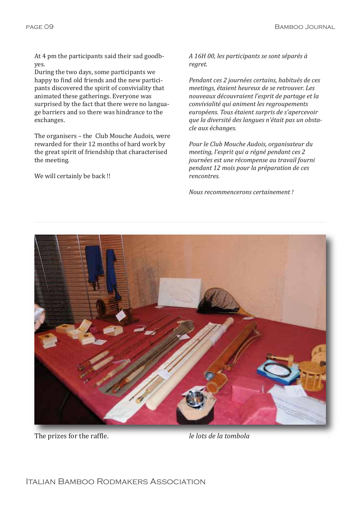At 4 pm the participants said their sad goodbyes.

During the two days, some participants we happy to find old friends and the new participants discovered the spirit of conviviality that animated these gatherings. Everyone was surprised by the fact that there were no language barriers and so there was hindrance to the exchanges.

The organisers – the Club Mouche Audois, were rewarded for their 12 months of hard work by the great spirit of friendship that characterised the meeting.

We will certainly be back !!

*A 16H 00, les participants se sont séparés à regret.* 

*Pendant ces 2 journées certains, habitués de ces meetings, étaient heureux de se retrouver. Les nouveaux découvraient l'esprit de partage et la convivialité qui animent les regroupements européens. Tous étaient surpris de s'apercevoir que la diversité des langues n'était pas un obstacle aux échanges.* 

*Pour le Club Mouche Audois, organisateur du meeting, l'esprit qui a régné pendant ces 2 journées est une récompense au travail fourni pendant 12 mois pour la préparation de ces rencontres.* 

*Nous recommencerons certainement !*



The prizes for the raffle. *le lots de la tombola*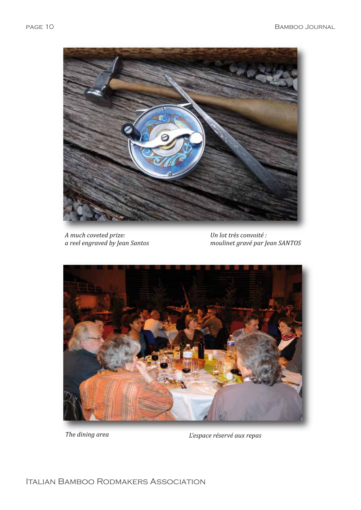

*A much coveted prize: a reel engraved by Jean Santos*

*Un lot très convoité : moulinet gravé par Jean SANTOS*



*The dining area L'espace réservé aux repas*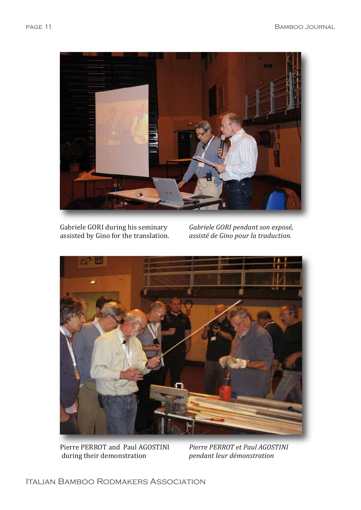

Gabriele GORI during his seminary assisted by Gino for the translation.

*Gabriele GORI pendant son exposé, assisté de Gino pour la traduction.*



Pierre PERROT and Paul AGOSTINI during their demonstration

*Pierre PERROT et Paul AGOSTINI pendant leur démonstration*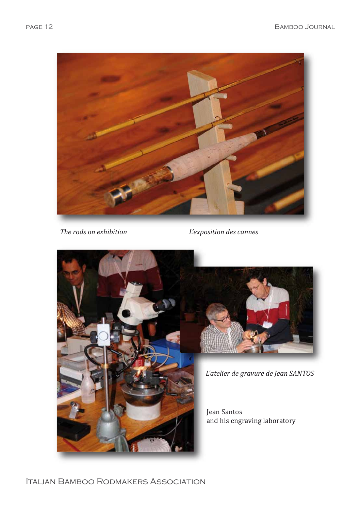

*The rods on exhibition L'exposition des cannes*





*L'atelier de gravure de Jean SANTOS*

Jean Santos and his engraving laboratory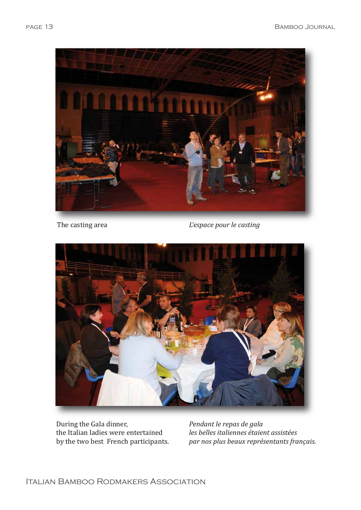

The casting area *L'espace pour le casting*



During the Gala dinner, the Italian ladies were entertained by the two best French participants.

*Pendant le repas de gala les belles italiennes étaient assistées par nos plus beaux représentants français.*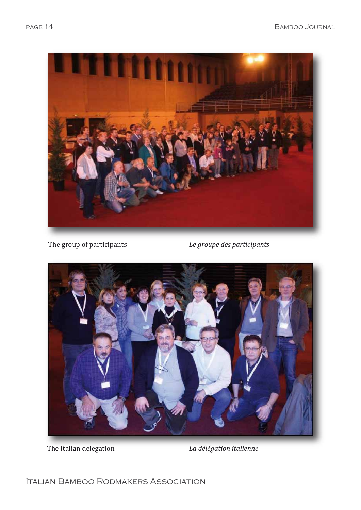

The group of participants

*Le groupe des participants*



The Italian delegation

*La délégation italienne*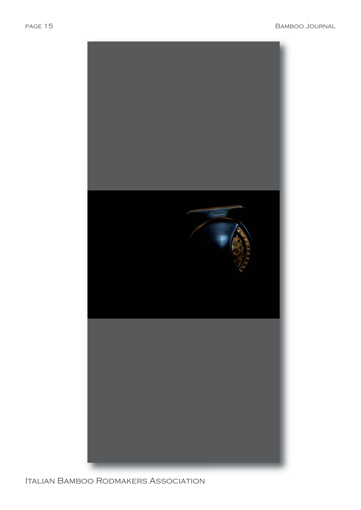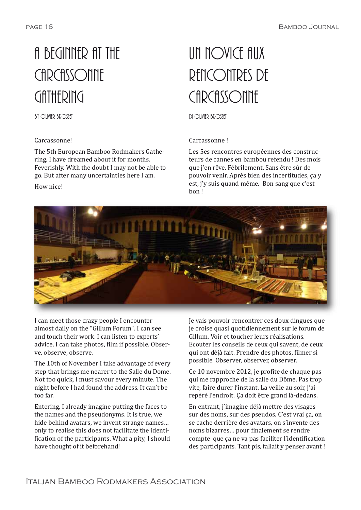# A BEGINNER AT THE CARCASSONNE GATHERING

BY OINIFR BROSSET

#### Carcassonne!

The 5th European Bamboo Rodmakers Gathering. I have dreamed about it for months. Feverishly. With the doubt I may not be able to go. But after many uncertainties here I am.

How nice!

# UN NOVICE AUX Rencontres de CARCASSONNE

di Olivier Brosset

## Carcassonne !

Les 5es rencontres européennes des constructeurs de cannes en bambou refendu ! Des mois que j'en rêve. Fébrilement. Sans être sûr de pouvoir venir. Après bien des incertitudes, ça y est, j'y suis quand même. Bon sang que c'est bon !



I can meet those crazy people I encounter almost daily on the "Gillum Forum". I can see and touch their work. I can listen to experts' advice. I can take photos, �ilm if possible. Observe, observe, observe.

The 10th of November I take advantage of every step that brings me nearer to the Salle du Dome. Not too quick, I must savour every minute. The night before I had found the address. It can't be too far.

Entering, I already imagine putting the faces to the names and the pseudonyms. It is true, we hide behind avatars, we invent strange names… only to realise this does not facilitate the identi fication of the participants. What a pity, I should have thought of it beforehand!

Je vais pouvoir rencontrer ces doux dingues que je croise quasi quotidiennement sur le forum de Gillum. Voir et toucher leurs réalisations. Ecouter les conseils de ceux qui savent, de ceux qui ont déjà fait. Prendre des photos, �ilmer si possible. Observer, observer, observer.

Ce 10 novembre 2012, je pro�ite de chaque pas qui me rapproche de la salle du Dôme. Pas trop vite, faire durer l'instant. La veille au soir, j'ai repéré l'endroit. Ça doit être grand là-dedans.

En entrant, j'imagine déjà mettre des visages sur des noms, sur des pseudos. C'est vrai ça, on se cache derrière des avatars, on s'invente des noms bizarres... pour finalement se rendre compte que ça ne va pas faciliter l'identification des participants. Tant pis, fallait y penser avant !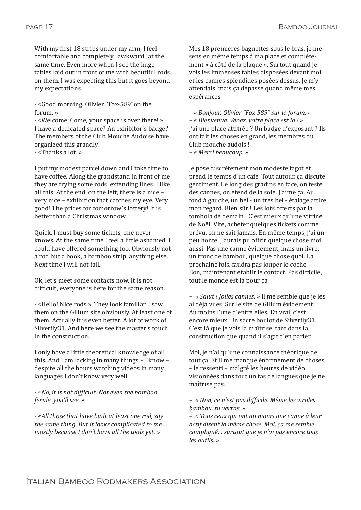With my first 18 strips under my arm, I feel comfortable and completely "awkward" at the same time. Even more when I see the huge tables laid out in front of me with beautiful rods on them. I was expecting this but it goes beyond my expectations.

- «Good morning. Olivier "Fox-589"on the forum. »

- «Welcome. Come, your space is over there! » I have a dedicated space? An exhibitor's badge? The members of the Club Mouche Audoise have organized this grandly!

- «Thanks a lot. »

I put my modest parcel down and I take time to have coffee. Along the grandstand in front of me they are trying some rods, extending lines. I like all this. At the end, on the left, there is a nice – very nice – exhibition that catches my eye. Very good! The prices for tomorrow's lottery! It is better than a Christmas window.

Quick, I must buy some tickets, one never knows. At the same time I feel a little ashamed. I could have offered something too. Obviously not a rod but a book, a bamboo strip, anything else. Next time I will not fail.

Ok, let's meet some contacts now. It is not difficult, everyone is here for the same reason.

- «Hello! Nice rods ». They look familiar. I saw them on the Gillum site obviously. At least one of them. Actually it is even better. A lot of work of Silverfly31. And here we see the master's touch in the construction.

I only have a little theoretical knowledge of all this. And I am lacking in many things – I know – despite all the hours watching videos in many languages I don't know very well.

*- «No, it is not dif�icult. Not even the bamboo ferule, you'll see. »*

*- «All those that have built at least one rod, say the same thing. But it looks complicated to me ... mostly because I don't have all the tools yet. »*

Mes 18 premières baguettes sous le bras, je me sens en même temps à ma place et complètement « à côté de la plaque ». Surtout quand je vois les immenses tables disposées devant moi et les cannes splendides posées dessus. Je m'y attendais, mais ça dépasse quand même mes espérances.

*– « Bonjour. Olivier "Fox-589" sur le forum. » – « Bienvenue. Venez, votre place est là ! »* J'ai une place attitrée ? Un badge d'exposant ? Ils ont fait les choses en grand, les membres du Club mouche audois ! *– « Merci beaucoup. »*

Je pose discrètement mon modeste fagot et prend le temps d'un café. Tout autour, ça discute gentiment. Le long des gradins en face, on teste des cannes, on étend de la soie. J'aime ça. Au fond à gauche, un bel - un très bel - étalage attire mon regard. Bien sûr ! Les lots offerts par la tombola de demain ! C'est mieux qu'une vitrine de Noël. Vite, acheter quelques tickets comme prévu, on ne sait jamais. En même temps, j'ai un peu honte. J'aurais pu offrir quelque chose moi aussi. Pas une canne évidement, mais un livre, un tronc de bambou, quelque chose quoi. La prochaine fois, faudra pas louper le coche. Bon, maintenant établir le contact. Pas difficile, tout le monde est là pour ça.

*– « Salut ! Jolies cannes. »* Il me semble que je les ai déjà vues. Sur le site de Gillum évidement. Au moins l'une d'entre elles. En vrai, c'est encore mieux. Un sacré boulot de Silverfly31. C'est là que je vois la maîtrise, tant dans la construction que quand il s'agit d'en parler.

Moi, je n'ai qu'une connaissance théorique de tout ça. Et il me manque énormément de choses – le ressenti – malgré les heures de vidéo visionnées dans tout un tas de langues que je ne maîtrise pas.

#### *– « Non, ce n'est pas dif�icile. Même les viroles bambou, tu verras. »*

*– « Tous ceux qui ont au moins une canne à leur actif disent la même chose. Moi, ça me semble compliqué… surtout que je n'ai pas encore tous les outils. »*